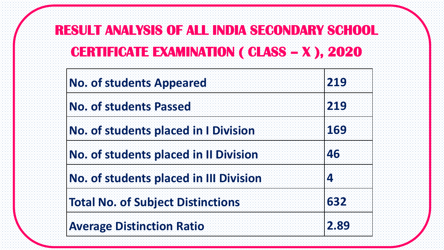# **RESULT ANALYSIS OF ALL INDIA SECONDARY SCHOOL CERTIFICATE EXAMINATION ( CLASS – X ), 2020**

| <b>No. of students Appeared</b>             | 219  |
|---------------------------------------------|------|
| <b>No. of students Passed</b>               | 219  |
| <b>No. of students placed in I Division</b> | 169  |
| No. of students placed in Il Division       | 46   |
| No. of students placed in III Division      | 4    |
| <b>Total No. of Subject Distinctions</b>    | 632  |
| <b>Average Distinction Ratio</b>            | 2.89 |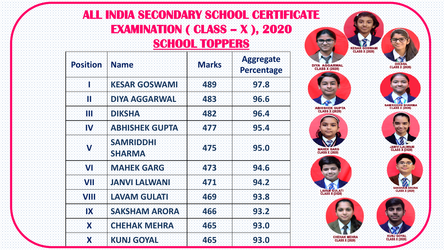#### **ALL INDIA SECONDARY SCHOOL CERTIFICATE EXAMINATION ( CLASS – X ), 2020 SCHOOL TOPPERS**

| <b>Position</b> | <b>Name</b>                       | <b>Marks</b> | <b>Aggregate</b><br>Percentage |
|-----------------|-----------------------------------|--------------|--------------------------------|
| Ŧ               | <b>KESAR GOSWAMI</b>              | 489          | 97.8                           |
| Ħ               | <b>DIYA AGGARWAL</b>              | 483          | 96.6                           |
| HI              | <b>DIKSHA</b>                     | 482          | 96.4                           |
| IV              | <b>ABHISHEK GUPTA</b>             | 477          | 95.4                           |
| V               | <b>SAMRIDDHI</b><br><b>SHARMA</b> | 475          | 95.0                           |
| VI              | <b>MAHEK GARG</b>                 | 473          | 94.6                           |
| VH              | <b>JANVI LALWANI</b>              | 471          | 94.2                           |
| <b>VIII</b>     | <b>LAVAM GULATI</b>               | 469          | 93.8                           |
| <b>IX</b>       | <b>SAKSHAM ARORA</b>              | 466          | 93.2                           |
| X               | <b>CHEHAK MEHRA</b>               | 465          | 93.0                           |
| Х               | <b>KUNJ GOYAL</b>                 | 465          | 93.0                           |



**MAHEK GARG<br>CLASS X (2020)** 

**LAVAM GULATI CLASS X (2020)** 











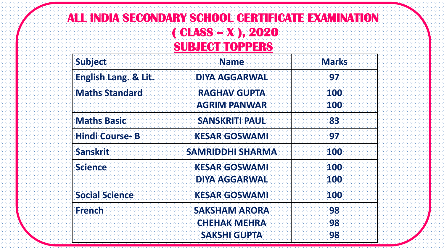#### **ALL INDIA SECONDARY SCHOOL CERTIFICATE EXAMINATION ( CLASS – X ), 2020 SUBJECT TOPPERS**

| <b>Subject</b>        | <b>Name</b>                                  | <b>Marks</b> |
|-----------------------|----------------------------------------------|--------------|
| English Lang. & Lit.  | <b>DIYA AGGARWAL</b>                         | 97           |
| <b>Maths Standard</b> | <b>RAGHAV GUPTA</b><br><b>AGRIM PANWAR</b>   | 100<br>100   |
| <b>Maths Basic</b>    | <b>SANSKRITI PAUL</b>                        | 83           |
| <b>Hindi Course-B</b> | <b>KESAR GOSWAMI</b>                         | 97           |
| <b>Sanskrit</b>       | <b>SAMRIDDHI SHARMA</b>                      | 100          |
| <b>Science</b>        | <b>KESAR GOSWAMI</b><br><b>DIYA AGGARWAL</b> | 100<br>100   |
| <b>Social Science</b> | <b>KESAR GOSWAMI</b>                         | 100          |
| <b>French</b>         | <b>SAKSHAM ARORA</b><br><b>CHEHAK MEHRA</b>  | 98<br>98     |
|                       | <b>SAKSHI GUPTA</b>                          | 98           |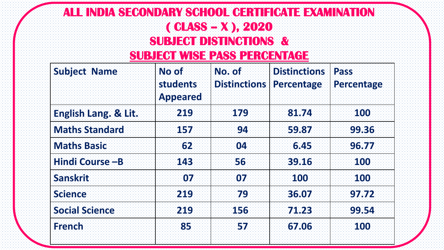# **ALL INDIA SECONDARY SCHOOL CERTIFICATE EXAMINATION ( CLASS – X ), 2020 SUBJECT DISTINCTIONS &**

#### **SUBJECT WISE PASS PERCENTAGE**

| <b>Subject Name</b>   | <b>No of</b><br>students<br><b>Appeared</b> | No. of<br><b>Distinctions</b> | <b>Distinctions</b><br>Percentage | <b>Pass</b><br>Percentage |
|-----------------------|---------------------------------------------|-------------------------------|-----------------------------------|---------------------------|
| English Lang. & Lit.  | 219                                         | 179                           | 81.74                             | <b>100</b>                |
| <b>Maths Standard</b> | 157                                         | 94                            | 59.87                             | 99.36                     |
| <b>Maths Basic</b>    | 62                                          | 04                            | 6.45                              | 96.77                     |
| Hindi Course-B        | 143                                         | 56                            | 39.16                             | <b>100</b>                |
| <b>Sanskrit</b>       | 07                                          | 07                            | 100                               | 100                       |
| <b>Science</b>        | 219                                         | 79                            | 36.07                             | 97.72                     |
| <b>Social Science</b> | 219                                         | 156                           | 71.23                             | 99.54                     |
| <b>French</b>         | 85                                          | 57                            | 67.06                             | 100                       |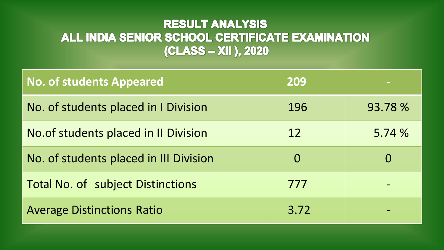#### **RESULT ANALYSIS** ALL INDIA SENIOR SCHOOL CERTIFICATE EXAMINATION (CLASS - XII ), 2020

| <b>No. of students Appeared</b>          | 209      |          |
|------------------------------------------|----------|----------|
| No. of students placed in I Division     | 196      | 93.78 %  |
| No. of students placed in II Division    | 12       | 5.74%    |
| No. of students placed in III Division   | $\Omega$ | $\bf{0}$ |
| <b>Total No. of subject Distinctions</b> | 777      |          |
| <b>Average Distinctions Ratio</b>        | 3.72     |          |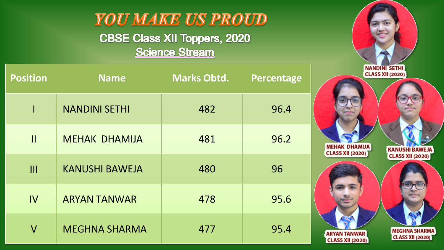

| <b>Position</b>         | <b>Name</b>           | <b>Marks Obtd.</b> | <b>Percentage</b> |
|-------------------------|-----------------------|--------------------|-------------------|
|                         | <b>NANDINI SETHI</b>  | 482                | 96.4              |
| $\mathbf{  }$           | <b>MEHAK DHAMIJA</b>  | 481                | 96.2              |
| III                     | <b>KANUSHI BAWEJA</b> | 480                | 96                |
| IV                      | <b>ARYAN TANWAR</b>   | 478                | 95.6              |
| $\overline{\mathsf{V}}$ | <b>MEGHNA SHARMA</b>  | 477                | 95.4              |

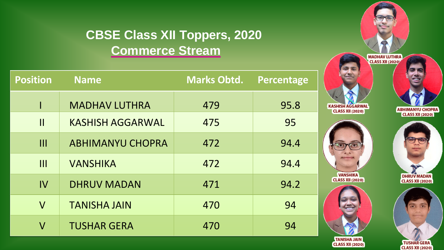### **CBSE Class XII Toppers, 2020 Commerce Stream**

| <b>Position</b>         | <b>Name</b>             | <b>Marks Obtd.</b> | Percentage |
|-------------------------|-------------------------|--------------------|------------|
|                         | <b>MADHAV LUTHRA</b>    | 479                | 95.8       |
| $\mathbf{\mathsf{I}}$   | <b>KASHISH AGGARWAL</b> | 475                | 95         |
| III                     | <b>ABHIMANYU CHOPRA</b> | 472                | 94.4       |
| III                     | <b>VANSHIKA</b>         | 472                | 94.4       |
| IV                      | <b>DHRUV MADAN</b>      | 471                | 94.2       |
| $\overline{\mathsf{V}}$ | <b>TANISHA JAIN</b>     | 470                | 94         |
| $\sf V$                 | <b>TUSHAR GERA</b>      | 470                | 94         |



**TUSHAR GERA CLASS XII (2020)** 

TANISHA JAIN<br>CLASS XII (2020)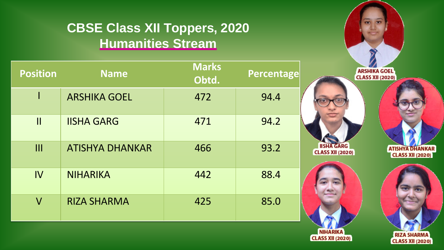## **CBSE Class XII Toppers, 2020 Humanities Stream**

| <b>Position</b>         | <b>Name</b>            | <b>Marks</b><br>Obtd. | <b>Percentage</b> |                             |
|-------------------------|------------------------|-----------------------|-------------------|-----------------------------|
|                         | <b>ARSHIKA GOEL</b>    | 472                   | 94.4              |                             |
| $\mathbf{II}$           | <b>IISHA GARG</b>      | 471                   | 94.2              |                             |
| III                     | <b>ATISHYA DHANKAR</b> | 466                   | 93.2              | <b>IISH</b><br><b>CLASS</b> |
| IV                      | <b>NIHARIKA</b>        | 442                   | 88.4              |                             |
| $\overline{\mathsf{V}}$ | <b>RIZA SHARMA</b>     | 425                   | 85.0              |                             |





**RIZA SHARMA** 

**CLASS XII (2020)**